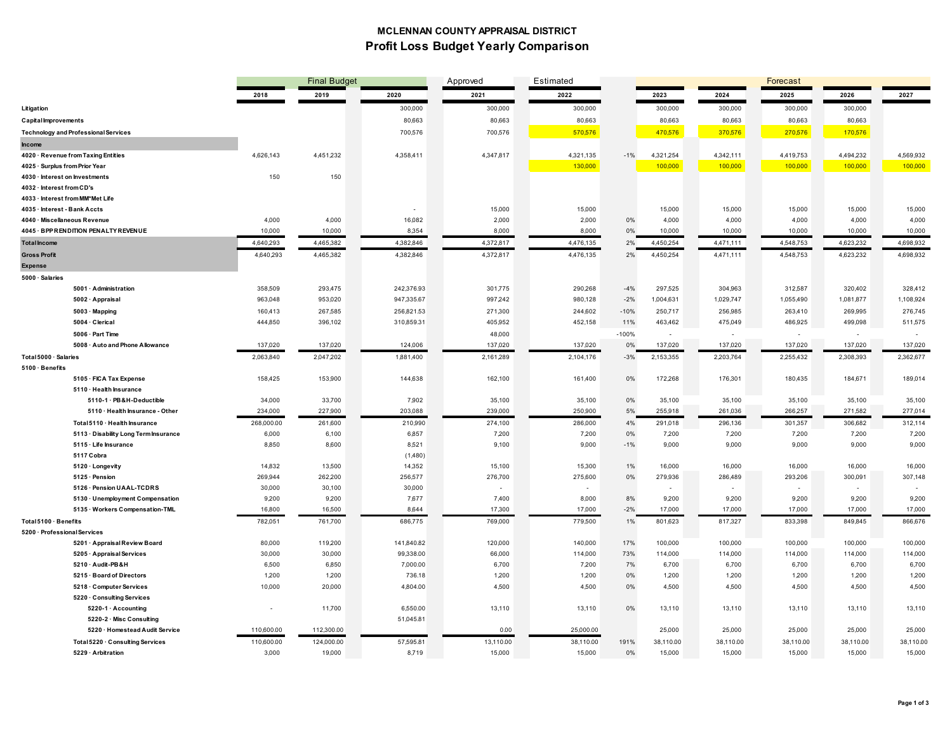#### **MCLENNAN COUNTY APPRAISAL DISTRICT Profit Loss Budget Yearly Comparison**

|                       |                                             | <b>Final Budget</b> |                   | Approved          | Estimated         |                   |             |                   | Forecast          |                   |                   |                   |
|-----------------------|---------------------------------------------|---------------------|-------------------|-------------------|-------------------|-------------------|-------------|-------------------|-------------------|-------------------|-------------------|-------------------|
|                       |                                             | 2018                | 2019              | 2020              | 2021              | 2022              |             | 2023              | 2024              | 2025              | 2026              | 2027              |
| Litigation            |                                             |                     |                   | 300,000           | 300,000           | 300,000           |             | 300,000           | 300,000           | 300,000           | 300,000           |                   |
|                       | <b>Capital Improvements</b>                 |                     |                   | 80,663            | 80,663            | 80,663            |             | 80,663            | 80,663            | 80,663            | 80,663            |                   |
|                       | <b>Technology and Professional Services</b> |                     |                   | 700,576           | 700,576           | 570,576           |             | 470,576           | 370,576           | 270,576           | 170,576           |                   |
| <b>Income</b>         |                                             |                     |                   |                   |                   |                   |             |                   |                   |                   |                   |                   |
|                       | 4020 · Revenue from Taxing Entities         | 4,626,143           | 4,451,232         | 4,358,411         | 4,347,817         | 4,321,135         | $-1%$       | 4,321,254         | 4,342,111         | 4,419,753         | 4,494,232         | 4,569,932         |
|                       | 4025 · Surplus from Prior Year              |                     |                   |                   |                   | 130,000           |             | 100,000           | 100,000           | 100,000           | 100,000           | 100,000           |
|                       | 4030 · Interest on Investments              | 150                 | 150               |                   |                   |                   |             |                   |                   |                   |                   |                   |
|                       | 4032 · Interest from CD's                   |                     |                   |                   |                   |                   |             |                   |                   |                   |                   |                   |
|                       | 4033 · Interest from MM*Met Life            |                     |                   |                   |                   |                   |             |                   |                   |                   |                   |                   |
|                       | 4035 · Interest - Bank Accts                |                     |                   |                   | 15,000            | 15,000            |             | 15,000            | 15,000            | 15,000            | 15,000            | 15,000            |
|                       | 4040 · Miscellaneous Revenue                | 4,000               | 4,000             | 16,082            | 2,000             | 2,000             | 0%          | 4,000             | 4,000             | 4,000             | 4,000             | 4,000             |
|                       | 4045 · BPP RENDITION PENALTY REVENUE        | 10,000              | 10,000            | 8,354             | 8,000             | 8,000             | 0%          | 10,000            | 10,000            | 10,000            | 10,000            | 10,000            |
| <b>Total Income</b>   |                                             | 4,640,293           | 4,465,382         | 4,382,846         | 4,372,817         | 4,476,135         | 2%          | 4,450,254         | 4,471,111         | 4,548,753         | 4,623,232         | 4,698,932         |
| <b>Gross Profit</b>   |                                             | 4,640,293           | 4,465,382         | 4,382,846         | 4,372,817         | 4,476,135         | 2%          | 4,450,254         | 4,471,111         | 4,548,753         | 4,623,232         | 4,698,932         |
| <b>Expense</b>        |                                             |                     |                   |                   |                   |                   |             |                   |                   |                   |                   |                   |
| 5000 · Salaries       |                                             |                     |                   |                   |                   |                   |             |                   |                   |                   |                   |                   |
|                       | 5001 · Administration                       | 358,509             | 293,475           | 242,376.93        | 301,775           | 290,268           | $-4%$       | 297,525           | 304,963           | 312,587           | 320,402           | 328,412           |
|                       | 5002 · Appraisal                            | 963,048             | 953,020           | 947,335.67        | 997,242           | 980,128           | $-2%$       | 1,004,631         | 1,029,747         | 1,055,490         | 1,081,877         | 1,108,924         |
|                       | 5003 · Mapping                              | 160,413             | 267,585           | 256,821.53        | 271,300           | 244,602           | $-10%$      | 250,717           | 256,985           | 263,410           | 269,995           | 276,745           |
|                       | 5004 · Clerical                             | 444,850             | 396,102           | 310,859.31        | 405,952           | 452,158           | 11%         | 463,462           | 475,049           | 486,925           | 499,098           | 511,575           |
|                       | 5006 · Part Time                            |                     |                   |                   | 48,000            |                   | $-100%$     |                   |                   |                   |                   |                   |
|                       | 5008 · Auto and Phone Allowance             | 137,020             | 137,020           | 124,006           | 137,020           | 137,020           | 0%          | 137,020           | 137,020           | 137,020           | 137,020           | 137,020           |
| Total 5000 · Salaries |                                             | 2,063,840           | 2,047,202         | 1,881,400         | 2,161,289         | 2,104,176         | $-3%$       | 2,153,355         | 2,203,764         | 2,255,432         | 2,308,393         | 2,362,677         |
| 5100 · Benefits       |                                             |                     |                   |                   |                   |                   |             |                   |                   |                   |                   |                   |
|                       | 5105 · FICA Tax Expense                     | 158,425             | 153,900           | 144,638           | 162,100           | 161,400           | 0%          | 172,268           | 176,301           | 180,435           | 184,671           | 189,014           |
|                       | 5110 · Health Insurance                     |                     |                   |                   |                   |                   |             |                   |                   |                   |                   |                   |
|                       | 5110-1 · PB&H-Deductible                    | 34,000              | 33,700            | 7,902             | 35,100            | 35,100            | 0%          | 35,100            | 35,100            | 35,100            | 35,100            | 35,100            |
|                       | 5110 · Health Insurance - Other             | 234,000             | 227,900           | 203,088           | 239,000           | 250,900           | 5%          | 255,918           | 261,036           | 266,257           | 271,582           | 277,014           |
|                       | Total 5110 · Health Insurance               | 268,000.00          | 261,600           | 210,990           | 274,100           | 286,000           | 4%          | 291,018           | 296,136           | 301,357           | 306,682           | 312,114           |
|                       | 5113 · Disability Long Term Insurance       | 6,000               | 6,100             | 6,857             | 7,200             | 7,200             | 0%          | 7,200             | 7,200             | 7,200             | 7,200             | 7,200             |
|                       | 5115 · Life Insurance                       | 8,850               | 8,600             | 8,521             | 9,100             | 9,000             | $-1%$       | 9,000             | 9,000             | 9,000             | 9,000             | 9,000             |
|                       | 5117 Cobra                                  |                     |                   | (1,480)           |                   |                   |             |                   |                   |                   |                   |                   |
|                       | 5120 · Longevity<br>5125 · Pension          | 14,832<br>269,944   | 13,500<br>262,200 | 14,352<br>256,577 | 15,100<br>276,700 | 15,300<br>275,600 | 1%<br>$0\%$ | 16,000<br>279,936 | 16,000<br>286,489 | 16,000<br>293,206 | 16,000<br>300,091 | 16,000<br>307,148 |
|                       | 5126 · Pension UAAL-TCDRS                   | 30,000              | 30,100            | 30,000            |                   |                   |             |                   |                   |                   |                   |                   |
|                       | 5130 · Unemployment Compensation            | 9,200               | 9,200             | 7,677             | 7,400             | 8,000             | 8%          | 9,200             | 9,200             | 9,200             | 9,200             | 9,200             |
|                       | 5135 · Workers Compensation-TML             | 16,800              | 16,500            | 8,644             | 17,300            | 17,000            | $-2%$       | 17,000            | 17,000            | 17,000            | 17,000            | 17,000            |
| Total 5100 · Benefits |                                             | 782,051             | 761,700           | 686,775           | 769,000           | 779,500           | 1%          | 801,623           | 817,327           | 833,398           | 849,845           | 866,676           |
|                       | 5200 · Professional Services                |                     |                   |                   |                   |                   |             |                   |                   |                   |                   |                   |
|                       | 5201 · Appraisal Review Board               | 80,000              | 119,200           | 141,840.82        | 120,000           | 140,000           | 17%         | 100,000           | 100,000           | 100,000           | 100,000           | 100,000           |
|                       | 5205 · Appraisal Services                   | 30,000              | 30,000            | 99,338.00         | 66,000            | 114,000           | 73%         | 114,000           | 114,000           | 114,000           | 114,000           | 114,000           |
|                       | 5210 · Audit-PB&H                           | 6,500               | 6,850             | 7,000.00          | 6,700             | 7,200             | 7%          | 6,700             | 6,700             | 6,700             | 6,700             | 6,700             |
|                       | 5215 · Board of Directors                   | 1,200               | 1,200             | 736.18            | 1,200             | 1,200             | 0%          | 1,200             | 1,200             | 1,200             | 1,200             | 1,200             |
|                       | 5218 · Computer Services                    | 10,000              | 20,000            | 4,804.00          | 4,500             | 4,500             | 0%          | 4,500             | 4,500             | 4,500             | 4,500             | 4,500             |
|                       | 5220 · Consulting Services                  |                     |                   |                   |                   |                   |             |                   |                   |                   |                   |                   |
|                       | 5220-1 · Accounting                         |                     | 11,700            | 6,550.00          | 13,110            | 13,110            | 0%          | 13,110            | 13,110            | 13,110            | 13,110            | 13,110            |
|                       | 5220-2 · Misc Consulting                    |                     |                   | 51,045.81         |                   |                   |             |                   |                   |                   |                   |                   |
|                       | 5220 · Homestead Audit Service              | 110,600.00          | 112,300.00        |                   | 0.00              | 25,000.00         |             | 25,000            | 25,000            | 25,000            | 25,000            | 25,000            |
|                       | Total 5220 · Consulting Services            | 110,600.00          | 124,000.00        | 57,595.81         | 13,110.00         | 38,110.00         | 191%        | 38,110.00         | 38,110.00         | 38,110.00         | 38,110.00         | 38,110.00         |
|                       | 5229 · Arbitration                          | 3,000               | 19,000            | 8,719             | 15,000            | 15,000            | 0%          | 15,000            | 15,000            | 15,000            | 15,000            | 15,000            |
|                       |                                             |                     |                   |                   |                   |                   |             |                   |                   |                   |                   |                   |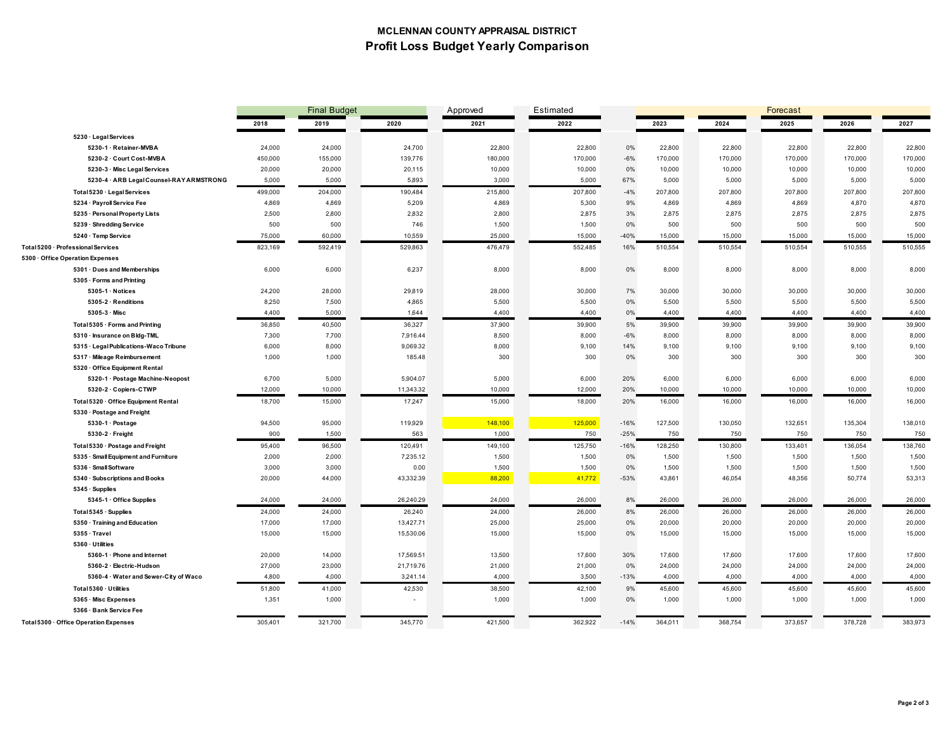#### **MCLENNAN COUNTY APPRAISAL DISTRICT Profit Loss Budget Yearly Comparison**

|                                                        | <b>Final Budget</b> |                  |                     | Estimated<br>Approved |                  |        | Forecast         |                  |                  |                  |         |
|--------------------------------------------------------|---------------------|------------------|---------------------|-----------------------|------------------|--------|------------------|------------------|------------------|------------------|---------|
|                                                        | 2018                | 2019             | 2020                | 2021                  | 2022             |        | 2023             | 2024             | 2025             | 2026             | 2027    |
| 5230 · Legal Services                                  |                     |                  |                     |                       |                  |        |                  |                  |                  |                  |         |
| 5230-1 · Retainer-MVBA                                 | 24,000              | 24,000           | 24,700              | 22,800                | 22,800           | 0%     | 22,800           | 22,800           | 22,800           | 22,800           | 22,800  |
| 5230-2 · Court Cost-MVBA                               | 450,000             | 155,000          | 139,776             | 180,000               | 170,000          | $-6%$  | 170,000          | 170,000          | 170,000          | 170,000          | 170,000 |
| 5230-3 · Misc Legal Services                           | 20,000              | 20,000           | 20,115              | 10,000                | 10,000           | 0%     | 10,000           | 10,000           | 10,000           | 10,000           | 10,000  |
| 5230-4 · ARB Legal Counsel-RAY ARMSTRONG               | 5,000               | 5,000            | 5,893               | 3,000                 | 5,000            | 67%    | 5,000            | 5,000            | 5,000            | 5,000            | 5,000   |
| Total 5230 · Legal Services                            | 499,000             | 204,000          | 190,484             | 215,800               | 207,800          | $-4%$  | 207,800          | 207,800          | 207,800          | 207,800          | 207,800 |
| 5234 · Payroll Service Fee                             | 4,869               | 4,869            | 5,209               | 4,869                 | 5,300            | 9%     | 4,869            | 4,869            | 4,869            | 4,870            | 4,870   |
| 5235 · Personal Property Lists                         | 2,500               | 2,800            | 2,832               | 2,800                 | 2,875            | 3%     | 2,875            | 2,875            | 2,875            | 2,875            | 2,875   |
| 5239 · Shredding Service                               | 500                 | 500              | 746                 | 1,500                 | 1,500            | 0%     | 500              | 500              | 500              | 500              | 500     |
| 5240 · Temp Service                                    | 75,000              | 60,000           | 10,559              | 25,000                | 15,000           | $-40%$ | 15,000           | 15,000           | 15,000           | 15,000           | 15,000  |
| Total 5200 · Professional Services                     | 823,169             | 592,419          | 529,863             | 476,479               | 552,485          | 16%    | 510,554          | 510,554          | 510,554          | 510,555          | 510,555 |
| 5300 · Office Operation Expenses                       |                     |                  |                     |                       |                  |        |                  |                  |                  |                  |         |
| 5301 · Dues and Memberships                            | 6,000               | 6,000            | 6,237               | 8,000                 | 8,000            | $0\%$  | 8,000            | 8,000            | 8,000            | 8,000            | 8,000   |
| 5305 · Forms and Printing                              |                     |                  |                     |                       |                  |        |                  |                  |                  |                  |         |
| $5305-1 \cdot$ Notices                                 | 24,200              | 28,000           | 29,819              | 28,000                | 30,000           | 7%     | 30,000           | 30,000           | 30,000           | 30,000           | 30,000  |
| 5305-2 · Renditions                                    | 8,250               | 7,500            | 4,865               | 5,500                 | 5,500            | $0\%$  | 5,500            | 5,500            | 5,500            | 5,500            | 5,500   |
| $5305-3$ $\cdot$ Misc                                  | 4,400               | 5,000            | 1,644               | 4,400                 | 4,400            | 0%     | 4,400            | 4,400            | 4,400            | 4,400            | 4,400   |
| Total 5305 · Forms and Printing                        | 36,850              | 40,500           | 36,327              | 37,900                | 39,900           | 5%     | 39,900           | 39,900           | 39,900           | 39,900           | 39,900  |
| 5310 · Insurance on Bldg-TML                           | 7,300               | 7,700            | 7,916.44            | 8,500                 | 8,000            | $-6%$  | 8,000            | 8,000            | 8,000            | 8,000            | 8,000   |
| 5315 · Legal Publications-Waco Tribune                 | 6,000               | 8,000            | 9,069.32            | 8,000                 | 9,100            | 14%    | 9,100            | 9,100            | 9,100            | 9,100            | 9,100   |
| 5317 · Mileage Reimbursement                           | 1,000               | 1,000            | 185.48              | 300                   | 300              | 0%     | 300              | 300              | 300              | 300              | 300     |
| 5320 · Office Equipment Rental                         |                     |                  |                     |                       |                  |        |                  |                  |                  |                  |         |
| 5320-1 · Postage Machine-Neopost                       | 6,700               | 5,000            | 5,904.07            | 5,000                 | 6,000            | 20%    | 6,000            | 6,000            | 6,000            | 6,000            | 6,000   |
| 5320-2 · Copiers-CTWP                                  | 12,000              | 10,000           | 11,343.32           | 10,000                | 12,000           | 20%    | 10,000           | 10,000           | 10,000           | 10,000           | 10,000  |
| Total 5320 · Office Equipment Rental                   | 18,700              | 15,000           | 17,247              | 15,000                | 18,000           | 20%    | 16,000           | 16,000           | 16,000           | 16,000           | 16,000  |
| 5330 · Postage and Freight                             |                     |                  |                     |                       |                  |        |                  |                  |                  |                  |         |
| 5330-1 · Postage                                       | 94,500              | 95,000           | 119,929             | 148,100               | 125,000          | $-16%$ | 127,500          | 130,050          | 132,651          | 135,304          | 138,010 |
| 5330-2 · Freight                                       | 900                 | 1,500            | 563                 | 1,000                 | 750              | $-25%$ | 750              | 750              | 750              | 750              | 750     |
| Total 5330 · Postage and Freight                       | 95,400              | 96,500           | 120,491             | 149,100               | 125,750          | $-16%$ | 128,250          | 130,800          | 133,401          | 136,054          | 138,760 |
| 5335 · Small Equipment and Furniture                   | 2,000               | 2,000            | 7,235.12            | 1,500                 | 1,500            | 0%     | 1,500            | 1,500            | 1,500            | 1,500            | 1,500   |
| 5336 · Small Software                                  | 3,000               | 3,000            | 0.00                | 1,500                 | 1,500            | 0%     | 1,500            | 1,500            | 1,500            | 1,500            | 1,500   |
| 5340 · Subscriptions and Books                         | 20,000              | 44,000           | 43,332.39           | 88,200                | 41,772           | $-53%$ | 43,861           | 46,054           | 48,356           | 50,774           | 53,313  |
| $5345 \cdot$ Supplies<br>5345-1 · Office Supplies      | 24,000              | 24,000           | 26,240.29           | 24,000                | 26,000           | 8%     | 26,000           | 26,000           | 26,000           | 26,000           | 26,000  |
|                                                        |                     |                  |                     |                       |                  | 8%     |                  |                  |                  |                  | 26,000  |
| Total 5345 · Supplies<br>5350 · Training and Education | 24,000<br>17,000    | 24,000<br>17,000 | 26,240<br>13,427.71 | 24,000<br>25,000      | 26,000<br>25,000 | 0%     | 26,000<br>20,000 | 26,000<br>20,000 | 26,000<br>20,000 | 26,000<br>20,000 | 20,000  |
| 5355 · Travel                                          | 15,000              | 15,000           | 15,530.06           | 15,000                | 15,000           | $0\%$  | 15,000           | 15,000           | 15,000           | 15,000           | 15,000  |
| 5360 · Utilities                                       |                     |                  |                     |                       |                  |        |                  |                  |                  |                  |         |
| 5360-1 · Phone and Internet                            | 20,000              | 14,000           | 17,569.51           | 13,500                | 17,600           | 30%    | 17,600           | 17,600           | 17,600           | 17,600           | 17,600  |
| 5360-2 · Electric-Hudson                               | 27,000              | 23,000           | 21,719.76           | 21,000                | 21,000           | 0%     | 24,000           | 24,000           | 24,000           | 24,000           | 24,000  |
| 5360-4 · Water and Sewer-City of Waco                  | 4,800               | 4,000            | 3,241.14            | 4,000                 | 3,500            | $-13%$ | 4,000            | 4,000            | 4,000            | 4,000            | 4,000   |
| Total 5360 · Utilities                                 | 51,800              | 41,000           | 42,530              | 38,500                | 42,100           | 9%     | 45,600           | 45,600           | 45,600           | 45,600           | 45,600  |
| 5365 · Misc Expenses                                   | 1,351               | 1,000            |                     | 1,000                 | 1,000            | 0%     | 1,000            | 1,000            | 1,000            | 1,000            | 1,000   |
| 5366 · Bank Service Fee                                |                     |                  |                     |                       |                  |        |                  |                  |                  |                  |         |
| Total 5300 · Office Operation Expenses                 | 305,401             | 321,700          | 345,770             | 421,500               | 362,922          | $-14%$ | 364,011          | 368,754          | 373,657          | 378,728          | 383,973 |
|                                                        |                     |                  |                     |                       |                  |        |                  |                  |                  |                  |         |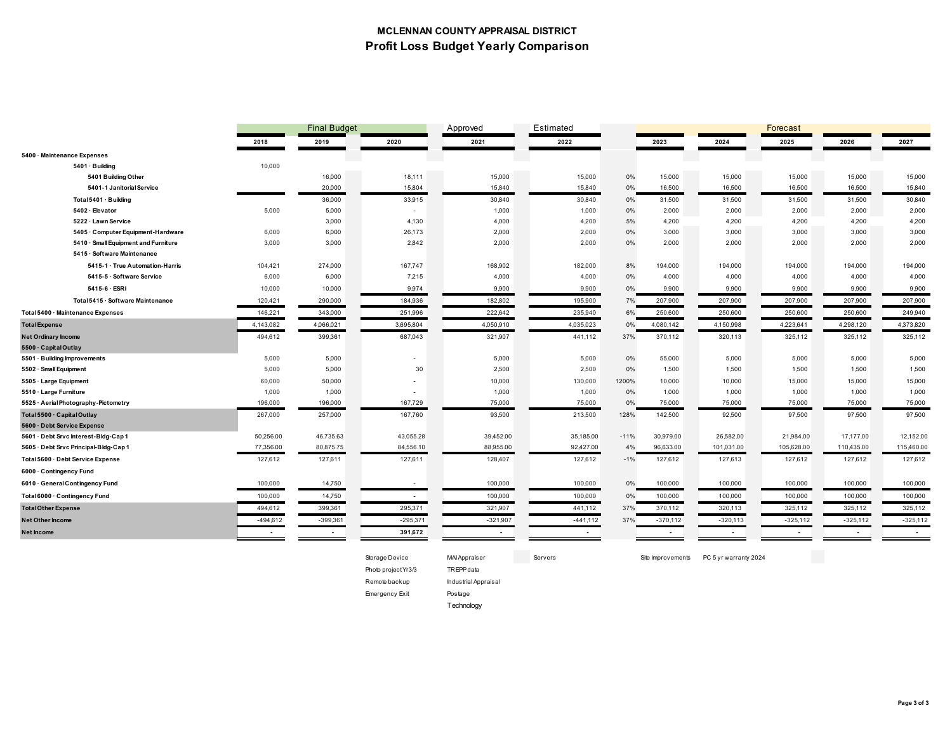#### **MCLENNAN COUNTY APPRAISAL DISTRICT Profit Loss Budget Yearly Comparison**

|                                       | <b>Final Budget</b> |            | Estimated<br>Approved |            | Forecast   |              |            |            |            |            |            |
|---------------------------------------|---------------------|------------|-----------------------|------------|------------|--------------|------------|------------|------------|------------|------------|
|                                       | 2018                | 2019       | 2020                  | 2021       | 2022       |              | 2023       | 2024       | 2025       | 2026       | 2027       |
| 5400 Maintenance Expenses             |                     |            |                       |            |            |              |            |            |            |            |            |
| 5401 · Buildina                       | 10,000              |            |                       |            |            |              |            |            |            |            |            |
| 5401 Building Other                   |                     | 16,000     | 18,111                | 15,000     | 15,000     | 0%           | 15,000     | 15,000     | 15,000     | 15,000     | 15,000     |
| 5401-1 Janitorial Service             |                     | 20,000     | 15,804                | 15,840     | 15,840     | 0%           | 16,500     | 16,500     | 16,500     | 16,500     | 15,840     |
| Total 5401 · Building                 |                     | 36,000     | 33,915                | 30,840     | 30,840     | 0%           | 31,500     | 31,500     | 31,500     | 31,500     | 30,840     |
| 5402 · Elevator                       | 5,000               | 5,000      |                       | 1,000      | 1,000      | 0%           | 2,000      | 2,000      | 2,000      | 2,000      | 2,000      |
| 5222 · Lawn Service                   |                     | 3,000      | 4,130                 | 4,000      | 4,200      | 5%           | 4,200      | 4,200      | 4,200      | 4,200      | 4,200      |
| 5405 · Computer Equipment-Hardware    | 6,000               | 6,000      | 26,173                | 2,000      | 2,000      | 0%           | 3,000      | 3,000      | 3,000      | 3,000      | 3,000      |
| 5410 · Small Equipment and Furniture  | 3,000               | 3,000      | 2,842                 | 2,000      | 2,000      | 0%           | 2,000      | 2,000      | 2,000      | 2,000      | 2,000      |
| 5415 · Software Maintenance           |                     |            |                       |            |            |              |            |            |            |            |            |
| 5415-1 · True Automation-Harris       | 104,421             | 274,000    | 167,747               | 168,902    | 182,000    | 8%           | 194,000    | 194,000    | 194,000    | 194,000    | 194,000    |
| 5415-5 · Software Service             | 6,000               | 6,000      | 7,215                 | 4,000      | 4,000      | 0%           | 4,000      | 4,000      | 4,000      | 4,000      | 4,000      |
| 5415-6 · ESRI                         | 10,000              | 10,000     | 9,974                 | 9,900      | 9,900      | 0%           | 9,900      | 9,900      | 9,900      | 9,900      | 9,900      |
| Total 5415 · Software Maintenance     | 120,421             | 290,000    | 184,936               | 182,802    | 195,900    | 7%           | 207,900    | 207,900    | 207,900    | 207,900    | 207,900    |
| Total 5400 · Maintenance Expenses     | 146,221             | 343,000    | 251,996               | 222,642    | 235,940    | 6%           | 250,600    | 250,600    | 250,600    | 250,600    | 249,940    |
| <b>Total Expense</b>                  | 4,143,082           | 4,066,021  | 3,695,804             | 4,050,910  | 4,035,023  | 0%           | 4,080,142  | 4,150,998  | 4,223,641  | 4,298,120  | 4,373,820  |
| <b>Net Ordinary Income</b>            | 494,612             | 399,361    | 687,043               | 321,907    | 441,112    | 37%          | 370,112    | 320,113    | 325,112    | 325,112    | 325,112    |
| 5500 · Capital Outlay                 |                     |            |                       |            |            |              |            |            |            |            |            |
| 5501 · Building Improvements          | 5,000               | 5,000      |                       | 5,000      | 5,000      | 0%           | 55,000     | 5,000      | 5,000      | 5,000      | 5,000      |
| 5502 · Small Equipment                | 5,000               | 5,000      | 30                    | 2,500      | 2,500      | 0%           | 1,500      | 1,500      | 1,500      | 1,500      | 1,500      |
| 5505 · Large Equipment                | 60,000              | 50,000     |                       | 10,000     | 130,000    | 1200%        | 10,000     | 10,000     | 15,000     | 15,000     | 15,000     |
| 5510 · Large Furniture                | 1,000               | 1,000      |                       | 1,000      | 1,000      | 0%           | 1,000      | 1,000      | 1,000      | 1,000      | 1,000      |
| 5525 · Aerial Photography-Pictometry  | 196,000             | 196,000    | 167,729               | 75,000     | 75,000     | 0%           | 75,000     | 75,000     | 75,000     | 75,000     | 75,000     |
| Total 5500 · Capital Outlay           | 267,000             | 257,000    | 167,760               | 93,500     | 213,500    | 128%         | 142,500    | 92,500     | 97,500     | 97,500     | 97,500     |
| 5600 · Debt Service Expense           |                     |            |                       |            |            |              |            |            |            |            |            |
| 5601 · Debt Srvc Interest-Bldg-Cap 1  | 50,256.00           | 46,735.63  | 43,055.28             | 39,452.00  | 35,185.00  | $-11%$<br>4% | 30,979.00  | 26,582.00  | 21,984.00  | 17,177.00  | 12,152.00  |
| 5605 · Debt Srvc Principal-Bldg-Cap 1 | 77,356.00           | 80,875.75  | 84,556.10             | 88,955.00  | 92,427.00  |              | 96,633.00  | 101,031.00 | 105,628.00 | 110,435.00 | 115,460.00 |
| Total 5600 · Debt Service Expense     | 127,612             | 127,611    | 127,611               | 128,407    | 127,612    | $-1%$        | 127,612    | 127,613    | 127,612    | 127,612    | 127,612    |
| 6000 Contingency Fund                 |                     |            |                       |            |            |              |            |            |            |            |            |
| 6010 · General Contingency Fund       | 100,000             | 14,750     |                       | 100,000    | 100,000    | 0%           | 100,000    | 100,000    | 100,000    | 100,000    | 100,000    |
| Total 6000 · Contingency Fund         | 100,000             | 14,750     |                       | 100,000    | 100,000    | 0%           | 100,000    | 100,000    | 100,000    | 100,000    | 100,000    |
| <b>Total Other Expense</b>            | 494,612             | 399,361    | 295,371               | 321,907    | 441,112    | 37%          | 370,112    | 320,113    | 325,112    | 325,112    | 325,112    |
| <b>Net Other Income</b>               | $-494,612$          | $-399,361$ | $-295,371$            | $-321,907$ | $-441,112$ | 37%          | $-370,112$ | $-320,113$ | $-325,112$ | $-325,112$ | $-325,112$ |
| Net Income                            |                     |            | 391,672               |            |            |              |            |            |            |            |            |
|                                       |                     |            |                       |            |            |              |            |            |            |            |            |

Storage Device MAI Appraiser Servers Site Improvements PC 5 yr warranty 2024

Photo project Yr3/3 TREPP data

Remote backup Industrial Appraisal

Emergency Exit Postage

Technology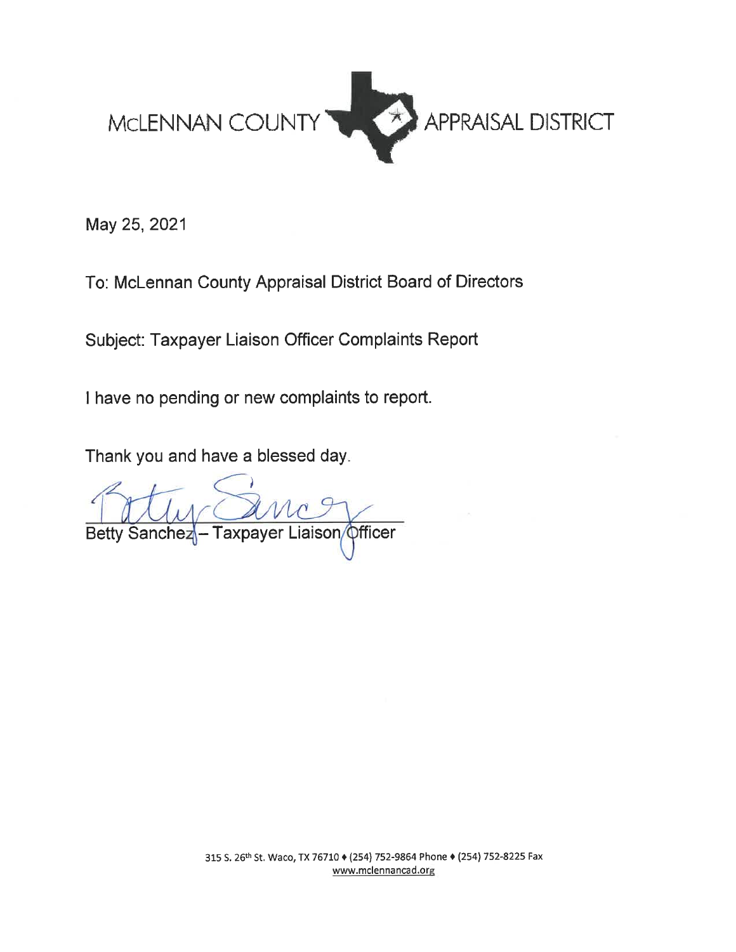

May 25, 2021

To: McLennan County Appraisal District Board of Directors

Subject: Taxpayer Liaison Officer Complaints Report

I have no pending or new complaints to report.

Thank you and have a blessed day.

Taxpayer Liaison Officer **Betty Sanchez**